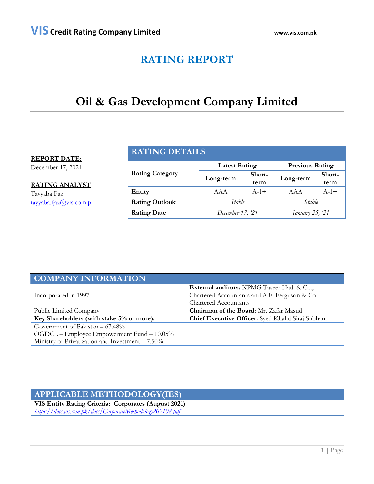# **RATING REPORT**

# **Oil & Gas Development Company Limited**

## **REPORT DATE:**

December 17, 2021

**RATING ANALYST**

Tayyaba Ijaz [tayyaba.ijaz@vis.com.pk](mailto:tayyaba.ijaz@vis.com.pk)

## **RATING DETAILS**

|                        | <b>Latest Rating</b> |                | <b>Previous Rating</b> |                |  |
|------------------------|----------------------|----------------|------------------------|----------------|--|
| <b>Rating Category</b> | Long-term            | Short-<br>term | Long-term              | Short-<br>term |  |
| Entity                 | AAA                  | $A - 1 +$      | AAA                    | $A - 1 +$      |  |
| <b>Rating Outlook</b>  | Stable<br>Stable     |                |                        |                |  |
| <b>Rating Date</b>     | December 17, '21     |                | January 25, 21         |                |  |

| <b>COMPANY INFORMATION</b>                         |                                                    |  |  |
|----------------------------------------------------|----------------------------------------------------|--|--|
|                                                    | <b>External auditors:</b> KPMG Taseer Hadi & Co.,  |  |  |
| Incorporated in 1997                               | Chartered Accountants and A.F. Ferguson & Co.      |  |  |
|                                                    | <b>Chartered Accountants</b>                       |  |  |
| Public Limited Company                             | Chairman of the Board: Mr. Zafar Masud             |  |  |
| Key Shareholders (with stake 5% or more):          | Chief Executive Officer: Syed Khalid Siraj Subhani |  |  |
| Government of Pakistan $-67.48\%$                  |                                                    |  |  |
| OGDCL – Employee Empowerment Fund – 10.05%         |                                                    |  |  |
| Ministry of Privatization and Investment $-7.50\%$ |                                                    |  |  |

## **APPLICABLE METHODOLOGY(IES)**

**VIS Entity Rating Criteria: Corporates (August 2021)** *<https://docs.vis.com.pk/docs/CorporateMethodology202108.pdf>*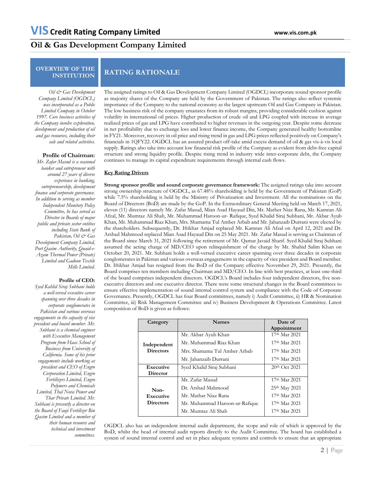## **Oil & Gas Development Company Limited**

# **OVERVIEW OF THE**

# **INSTITUTION RATING RATIONALE**

*Oil & Gas Development Company Limited (OGDCL) was incorporated as a Public Limited Company in October 1997. Core business activities of the Company involve exploration, development and production of oil and gas resources, including their sale and related activities.*

### **Profile of Chairman:**

*Mr. Zafar Masud is a seasoned banker and entrepreneur with around 27 years of diverse experience in banking, entrepreneurship, development finance and corporate governance. In addition to serving as member Independent Monitory Policy Committee, he has served as Director in Boards of major public and private sector entities including State Bank of Pakistan, Oil & Gas Development Company Limited, Port Qasim Authority, Quaid-e-Azam Thermal Power (Private) Limited and Gadoon Textile Mills Limited.*

#### **Profile of CEO:**

*Syed Kahlid Siraj Subhani holds a well-versed executive career spanning over three decades in corporate conglomerates in Pakistan and various overseas engagements in the capacity of vice president and board member. Mr. Subhani is a chemical engineer with Executive Management Program from Haas School of Business from University of California. Some of his prior engagements include working as president and CEO of Engro Corporation Limited, Engro Fertilizers Limited, Engro Polymers and Chemicals Limited, Thal Nova Power and Thar Private Limited. Mr. Subhani is presently a director on the Board of Fauji Fertilizer Bin Qasim Limited and a member of their human resource and technical and investment committees.* 

The assigned ratings to Oil & Gas Development Company Limited (OGDCL) incorporate sound sponsor profile as majority shares of the Company are held by the Government of Pakistan. The ratings also reflect systemic importance of the Company to the national economy as the largest upstream Oil and Gas Company in Pakistan. The low business risk of the company emanates from its robust margins, providing considerable cushion against volatility in international oil prices. Higher production of crude oil and LPG coupled with increase in average realized prices of gas and LPG have contributed to higher revenues in the outgoing year. Despite some decrease in net profitability due to exchange loss and lower finance income, the Company generated healthy bottomline in FY21. Moreover, recovery in oil price and rising trend in gas and LPG prices reflected positively on Company's financials in 1QFY22. OGDCL has an assured product off-take amid excess demand of oil & gas vis-à-vis local supply. Ratings also take into account low financial risk profile of the Company as evident from debt-free capital structure and strong liquidity profile. Despite rising trend in industry wide inter-corporate debt, the Company continues to manage its capital expenditure requirements through internal cash flows.

#### **Key Rating Drivers**

**Strong sponsor profile and sound corporate governance framework:** The assigned ratings take into account strong ownership structure of OGDCL, as 67.48% shareholding is held by the Government of Pakistan (GoP) while 7.5% shareholding is held by the Ministry of Privatization and Investment. All the nominations on the Board of Directors (BoD) are made by the GoP. In the Extraordinary General Meeting held on March 17, 2021, eleven (11) directors namely Mr. Zafar Masud, Mian Asad Hayaud Din, Mr. Mather Niaz Rana, Mr. Kamran Ali Afzal, Mr. Mumtaz Ali Shah, Mr. Muhammad Haroon-ur- Rafique, Syed Khalid Siraj Subhani, Mr. Akbar Ayub Khan, Mr. Muhammad Riaz Khan, Mrs. Shamama Tul Amber Arbab and Mr. Jahanzaib Durrani were elected by the shareholders. Subsequently, Dr. Iftikhar Amjad replaced Mr. Kamran Ali Afzal on April 12, 2021 and Dr. Arshad Mahmood replaced Mian Asad Hayaud Din on 25 May 2021. Mr. Zafar Masud is serving as Chairman of the Board since March 31, 2021 following the retirement of Mr. Qamar Javaid Sharif. Syed Khalid Siraj Subhani assumed the acting charge of MD/CEO upon relinquishment of the charge by Mr. Shahid Salim Khan on October 20, 2021. Mr. Subhani holds a well-versed executive career spanning over three decades in corporate conglomerates in Pakistan and various overseas engagements in the capacity of vice president and Board member. Dr. Iftikhar Amjad has resigned from the BoD of the Company effective November 29, 2021. Presently, the Board comprises ten members including Chairman and MD/CEO. In line with best practices, at least one-third of the board comprises independent directors. OGDCL's Board includes four independent directors, five nonexecutive directors and one executive director. There were some structural changes in the Board committees to ensure effective implementation of sound internal control system and compliance with the Code of Corporate Governance. Presently, OGDCL has four Board committees, namely i) Audit Committee, ii) HR & Nomination Committee, iii) Risk Management Committee and iv) Business Development & Operations Committee. Latest composition of BoD is given as follows:

| Category                                | <b>Names</b>                   | Date of                   |  |
|-----------------------------------------|--------------------------------|---------------------------|--|
|                                         |                                | Appointment               |  |
|                                         | Mr. Akbar Ayub Khan            | $17th$ Mar 2021           |  |
| Independent<br><b>Directors</b>         | Mr. Muhammad Riaz Khan         | $17th$ Mar 2021           |  |
|                                         | Mrs. Shamama Tul Amber Arbab   | 17 <sup>th</sup> Mar 2021 |  |
|                                         | Mr. Jahanzaib Durrani          | $17th$ Mar 2021           |  |
| Executive                               | Syed Khalid Siraj Subhani      | 20th Oct 2021             |  |
| <b>Director</b>                         |                                |                           |  |
| $Non-$<br>Executive<br><b>Directors</b> | Mr. Zafar Masud                | $17th$ Mar 2021           |  |
|                                         | Dr. Arshad Mahmood             | 25 <sup>th</sup> May 2021 |  |
|                                         | Mr. Mathar Niaz Rana           | 17 <sup>th</sup> Mar 2021 |  |
|                                         | Mr. Muhammad Haroon-ur-Rafique | 17 <sup>th</sup> Mar 2021 |  |
|                                         | Mr. Mumtaz Ali Shah            | 17 <sup>th</sup> Mar 2021 |  |

OGDCL also has an independent internal audit department, the scope and role of which is approved by the BoD, whilst the head of internal audit reports directly to the Audit Committee. The board has established a system of sound internal control and set in place adequate systems and controls to ensure that an appropriate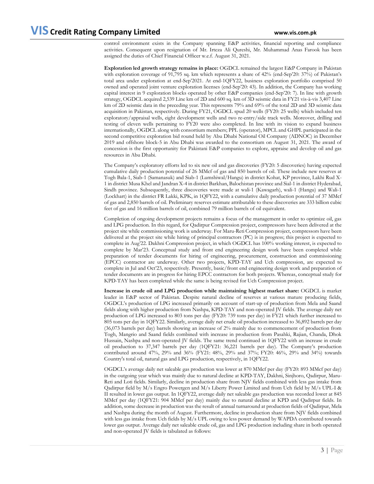control environment exists in the Company spanning E&P activities, financial reporting and compliance activities. Consequent upon resignation of Mr. Irteza Ali Qureshi, Mr. Muhammad Anas Farook has been assigned the duties of Chief Financial Officer w.e.f. August 31, 2021.

**Exploration led growth strategy remains in place:** OGDCL remained the largest E&P Company in Pakistan with exploration coverage of 91,795 sq. km which represents a share of 42% (end-Sep'20: 37%) of Pakistan's total area under exploration at end-Sep'2021. At end-1QFY22, business exploration portfolio comprised 50 owned and operated joint venture exploration licenses (end-Sep'20: 43). In addition, the Company has working capital interest in 9 exploration blocks operated by other E&P companies (end-Sep'20: 7). In line with growth strategy, OGDCL acquired 2,539 Line km of 2D and 600 sq. km of 3D seismic data in FY21 vis-à-vis 3,407 Line km of 2D seismic data in the preceding year. This represents 79% and 69% of the total 2D and 3D seismic data acquisition in Pakistan, respectively. During FY21, OGDCL spud 20 wells (FY20: 25 wells) which included ten exploratory/appraisal wells, eight development wells and two re-entry/side track wells. Moreover, drilling and testing of eleven wells pertaining to FY20 were also completed. In line with its vision to expand business internationally, OGDCL along with consortium members; PPL (operator), MPCL and GHPL participated in the second competitive exploration bid round held by Abu Dhabi National Oil Company (ADNOC) in December 2019 and offshore block-5 in Abu Dhabi was awarded to the consortium on August 31, 2021. The award of concession is the first opportunity for Pakistani E&P companies to explore, appraise and develop oil and gas resources in Abu Dhabi.

The Company's exploratory efforts led to six new oil and gas discoveries (FY20: 5 discoveries) having expected cumulative daily production potential of 26 MMcf of gas and 850 barrels of oil. These include new reserves at Togh Bala-1, Siab-1 (Samanasuk) and Siab-1 (Lumshiwal/Hangu) in district Kohat, KP province, Lakhi Rud X-1 in district Musa Khel and Jandran X-4 in district Barkhan, Balochistan province and Sial-1 in district Hyderabad, Sindh province. Subsequently, three discoveries were made at wali-1 (Kawagarh), wali-1 (Hangu) and Wali-1 (Lockhart) in the district FR Lakki, KPK, in 1QFY22, with a cumulative daily production potential of 37 MMcf of gas and 2,850 barrels of oil. Preliminary reserves estimate attributable to these discoveries are 333 billion cubic feet of gas and 16 million barrels of oil, combined 79 million barrels of oil equivalent.

Completion of ongoing development projects remains a focus of the management in order to optimize oil, gas and LPG production. In this regard, for Qadirpur Compression project, compressors have been delivered at the project site while commissioning work is underway. For Maru-Reti Compression project, compressors have been delivered at the project site while hiring of principal contractors (PC) is in progress; this project is expected to complete in Aug'22. Dakhni Compression project, in which OGDCL has 100% working interest, is expected to complete by Mar'23. Conceptual study and front end engineering design work have been completed while preparation of tender documents for hiring of engineering, procurement, construction and commissioning (EPCC) contractor are underway. Other two projects, KPD-TAY and Uch compression, are expected to complete in Jul and Oct'23, respectively. Presently, basic/front end engineering design work and preparation of tender documents are in progress for hiring EPCC contractors for both projects. Whereas, conceptual study for KPD-TAY has been completed while the same is being revised for Uch Compression project.

**Increase in crude oil and LPG production while maintaining highest market share:** OGDCL is market leader in E&P sector of Pakistan. Despite natural decline of reserves at various mature producing fields, OGDCL's production of LPG increased primarily on account of start-up of production from Mela and Saand fields along with higher production from Nashpa, KPD-TAY and non-operated JV fields. The average daily net production of LPG increased to 803 tons per day (FY20: 739 tons per day) in FY21 which further increased to 805 tons per day in 1QFY22. Similarly, average daily net crude oil production increased to 36,892 barrels per day (36,073 barrels per day) barrels showing an increase of 2% mainly due to commencement of production from Togh, Mangrio and Saand fields combined with increase in production from Pasahki, Rajian, Chanda, Dhok Hussain, Nashpa and non-operated JV fields. The same trend continued in 1QFY22 with an increase in crude oil production to 37,347 barrels per day (1QFY21: 36,221 barrels per day). The Company's production contributed around 47%, 29% and 36% (FY21: 48%, 29% and 37%; FY20: 46%, 29% and 34%) towards Country's total oil, natural gas and LPG production, respectively, in 1QFY22.

OGDCL's average daily net saleable gas production was lower at 870 MMcf per day (FY20: 893 MMcf per day) in the outgoing year which was mainly due to natural decline at KPD-TAY, Dakhni, Sinjhoro, Qadirpur, Maru-Reti and Loti fields. Similarly, decline in production share from NJV fields combined with less gas intake from Qadirpur field by M/s Engro Powergen and M/s Liberty Power Limited and from Uch field by M/s UPL-I & II resulted in lower gas output. In 1QFY22, average daily net saleable gas production was recorded lower at 845 MMcf per day (1QFY21: 904 MMcf per day) mainly due to natural decline at KPD and Qadirpur fields. In addition, some decrease in production was the result of annual turnaround at production fields of Qadirpur, Mela and Nashpa during the month of August. Furthermore, decline in production share from NJV fields combined with less gas intake from Uch fields by M/s UPL owing to less power demand by WAPDA contributed towards lower gas output. Average daily net saleable crude oil, gas and LPG production including share in both operated and non-operated JV fields is tabulated as follows: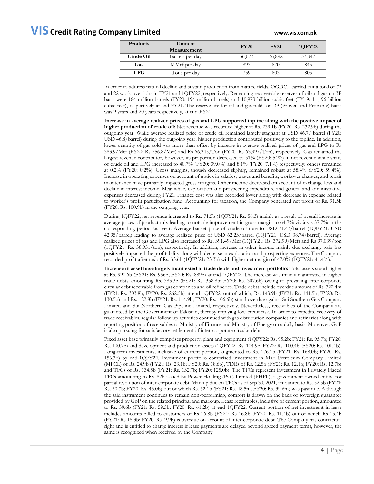| www.vis.com.pl |
|----------------|
|                |
|                |
|                |

| Products   | Units of<br>Measurement | <b>FY20</b> | <b>FY21</b> | 10FY22 |
|------------|-------------------------|-------------|-------------|--------|
| Crude Oil  | Barrels per day         | 36,073      | 36,892      | 37,347 |
| Gas        | MMcf per day            | 893         | 870         | 845    |
| <b>LPG</b> | Tons per day            | 739         | 803         | 805    |

In order to address natural decline and sustain production from mature fields, OGDCL carried out a total of 72 and 22 work-over jobs in FY21 and 1QFY22, respectively. Remaining recoverable reserves of oil and gas on 3P basis were 184 million barrels (FY20: 194 million barrels) and 10,973 billion cubic feet (FY19: 11,196 billion cubic feet), respectively at end-FY21. The reserve life for oil and gas fields on 2P (Proven and Probable) basis was 9 years and 20 years respectively, at end-FY21.

**Increase in average realized prices of gas and LPG supported topline along with the positive impact of higher production of crude oil:** Net revenue was recorded higher at Rs. 239.1b (FY20: Rs. 232.9b) during the outgoing year. While average realized price of crude oil remained largely stagnant at USD 46.7/ barrel (FY20: USD 46.8/barrel) during the outgoing year, higher production contributed positively to the topline. In addition, lower quantity of gas sold was more than offset by increase in average realized prices of gas and LPG to Rs 383.9/Mcf (FY20: Rs 356.8/Mcf) and Rs 66,345/Ton (FY20: Rs 63,997/Ton), respectively. Gas remained the largest revenue contributor, however, its proportion decreased to 51% (FY20: 54%) in net revenue while share of crude oil and LPG increased to 40.7% (FY20: 39.0%) and 8.1% (FY20: 7.1%) respectively; others remained at 0.2% (FY20: 0.2%). Gross margins, though decreased slightly, remained robust at 58.4% (FY20: 59.4%). Increase in operating expenses on account of uptick in salaries, wages and benefits, workover charges, and repair maintenance have primarily impacted gross margins. Other income decreased on account of exchange loss and decline in interest income. Meanwhile, exploration and prospecting expenditure and general and administrative expenses decreased during FY21. Finance cost was also recorded lower along with decrease in expense related to worker's profit participation fund. Accounting for taxation, the Company generated net profit of Rs. 91.5b (FY20: Rs. 100.9b) in the outgoing year.

During 1QFY22, net revenue increased to Rs. 71.5b (1QFY21: Rs. 56.3) mainly as a result of overall increase in average prices of product mix leading to notable improvement in gross margin to 64.7% vis-à-vis 57.7% in the corresponding period last year. Average basket price of crude oil rose to USD 71.43/barrel (1QFY21: USD 42.95/barrel) leading to average realized price of USD 62.23/barrel (1QFY21: USD 38.74/barrel). Average realized prices of gas and LPG also increased to Rs. 391.49/Mcf (1QFY21: Rs. 372.99/Mcf) and Rs 97,039/ton (1QFY21: Rs. 58,951/ton), respectively. In addition, increase in other income mainly due exchange gain has positively impacted the profitability along with decrease in exploration and prospecting expenses. The Company recorded profit after tax of Rs. 33.6b (1QFY21: 23.3b) with higher net margin of 47.0% (1QFY21: 41.4%).

**Increase in asset base largely manifested in trade debts and investment portfolio:** Total assets stood higher at Rs. 990.6b (FY21: Rs. 956b; FY20: Rs. 889b) at end-1QFY22. The increase was mainly manifested in higher trade debts amounting Rs. 383.3b (FY21: Rs. 358.8b; FY20: Rs. 307.6b) owing to prevailing inter-corporate circular debt receivable from gas companies and oil refineries. Trade debts include overdue amount of Rs. 322.4m (FY21: Rs. 303.8b; FY20: Rs. 262.5b) at end-1QFY22, out of which, Rs. 143.9b (FY21: Rs. 141.5b; FY20: Rs. 130.5b) and Rs. 122.8b (FY21: Rs. 114.9b; FY20: Rs. 106.6b) stand overdue against Sui Southern Gas Company Limited and Sui Northern Gas Pipeline Limited, respectively. Nevertheless, receivables of the Company are guaranteed by the Government of Pakistan, thereby implying low credit risk. In order to expedite recovery of trade receivables, regular follow-up activities continued with gas distribution companies and refineries along with reporting position of receivables to Ministry of Finance and Ministry of Energy on a daily basis. Moreover, GoP is also pursuing for satisfactory settlement of inter-corporate circular debt.

Fixed asset base primarily comprises property, plant and equipment (1QFY22: Rs. 95.2b; FY21: Rs. 95.7b; FY20: Rs. 100.7b) and development and production assets (1QFY22: Rs. 104.9b; FY22: Rs. 100.4b; FY20: Rs. 101.4b). Long-term investments, inclusive of current portion, augmented to Rs. 176.1b (FY21: Rs. 168.0b; FY20: Rs. 156.3b) by end-1QFY22. Investment portfolio comprised investment in Mari Petroleum Company Limited (MPCL) of Rs. 24.9b (FY21: Rs. 23.1b; FY20: Rs. 18.6b), TDRs of Rs. 12.5b (FY21: Rs. 12.1b; FY20: Rs. 12.7b) and TFCs of Rs. 134.5b (FY21: Rs. 132.7b; FY20: 125.0b). The TFCs represent investment in Privately Placed TFCs amounting to Rs. 82b issued by Power Holding (Pvt.) Limited (PHPL), a government owned entity, for partial resolution of inter-corporate debt. Markup due on TFCs as of Sep 30, 2021, amounted to Rs. 52.5b (FY21: Rs. 50.7b; FY20: Rs. 43.0b) out of which Rs. 52.1b (FY21: Rs. 48.5m; FY20: Rs. 39.6m) was past due. Although the said instrument continues to remain non-performing, comfort is drawn on the back of sovereign guarantee provided by GoP on the related principal and mark-up. Lease receivables, inclusive of current portion, amounted to Rs. 59.6b (FY21: Rs. 59.5b; FY20: Rs. 61.2b) at end-1QFY22. Current portion of net investment in lease includes amounts billed to customers of Rs 16.8b (FY21: Rs 16.8b; FY20: Rs. 11.4b) out of which Rs 15.4b (FY21: Rs 15.3b; FY20: Rs. 9.9b) is overdue on account of inter-corporate debt. The Company has contractual right and is entitled to charge interest if lease payments are delayed beyond agreed payment terms, however, the same is recognized when received by the Company.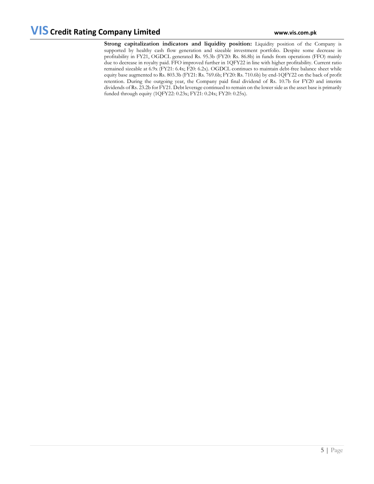**Strong capitalization indicators and liquidity position:** Liquidity position of the Company is supported by healthy cash flow generation and sizeable investment portfolio. Despite some decrease in profitability in FY21, OGDCL generated Rs. 95.3b (FY20: Rs. 86.8b) in funds from operations (FFO) mainly due to decrease in royalty paid. FFO improved further in 1QFY22 in line with higher profitability. Current ratio remained sizeable at 6.9x (FY21: 6.4x; F20: 6.2x). OGDCL continues to maintain debt-free balance sheet while equity base augmented to Rs. 803.3b (FY21: Rs. 769.6b; FY20: Rs. 710.6b) by end-1QFY22 on the back of profit retention. During the outgoing year, the Company paid final dividend of Rs. 10.7b for FY20 and interim dividends of Rs. 23.2b for FY21. Debt leverage continued to remain on the lower side as the asset base is primarily funded through equity (1QFY22: 0.23x; FY21: 0.24x; FY20: 0.25x).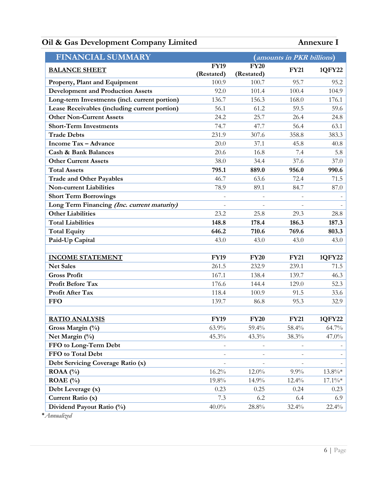# **Oil & Gas Development Company Limited Annexure I**

| <b>FINANCIAL SUMMARY</b>                      |                   | (amounts in PKR billions) |             |               |
|-----------------------------------------------|-------------------|---------------------------|-------------|---------------|
| <b>BALANCE SHEET</b>                          | <b>FY19</b>       | <b>FY20</b>               | <b>FY21</b> | <b>1QFY22</b> |
|                                               | (Restated)        | (Restated)                |             |               |
| Property, Plant and Equipment                 | 100.9             | 100.7                     | 95.7        | 95.2          |
| <b>Development and Production Assets</b>      | 92.0              | 101.4                     | 100.4       | 104.9         |
| Long-term Investments (incl. current portion) | 136.7             | 156.3                     | 168.0       | 176.1         |
| Lease Receivables (including current portion) | 56.1              | 61.2                      | 59.5        | 59.6          |
| <b>Other Non-Current Assets</b>               | 24.2              | 25.7                      | 26.4        | 24.8          |
| <b>Short-Term Investments</b>                 | 74.7              | 47.7                      | 56.4        | 63.1          |
| <b>Trade Debts</b>                            | 231.9             | 307.6                     | 358.8       | 383.3         |
| <b>Income Tax - Advance</b>                   | 20.0              | 37.1                      | 45.8        | 40.8          |
| <b>Cash &amp; Bank Balances</b>               | 20.6              | 16.8                      | 7.4         | 5.8           |
| <b>Other Current Assets</b>                   | 38.0              | 34.4                      | 37.6        | 37.0          |
| <b>Total Assets</b>                           | 795.1             | 889.0                     | 956.0       | 990.6         |
| <b>Trade and Other Payables</b>               | 46.7              | 63.6                      | 72.4        | 71.5          |
| <b>Non-current Liabilities</b>                | 78.9              | 89.1                      | 84.7        | 87.0          |
| <b>Short Term Borrowings</b>                  |                   |                           |             |               |
| Long Term Financing (Inc. current maturity)   |                   |                           |             |               |
| <b>Other Liabilities</b>                      | 23.2              | 25.8                      | 29.3        | 28.8          |
| <b>Total Liabilities</b>                      | 148.8             | 178.4                     | 186.3       | 187.3         |
| <b>Total Equity</b>                           | 646.2             | 710.6                     | 769.6       | 803.3         |
| Paid-Up Capital                               | 43.0              | 43.0                      | 43.0        | 43.0          |
|                                               |                   |                           |             |               |
| <b>INCOME STATEMENT</b>                       | <b>FY19</b>       | <b>FY20</b>               | <b>FY21</b> | 1QFY22        |
| <b>Net Sales</b>                              | 261.5             | 232.9                     | 239.1       | 71.5          |
| <b>Gross Profit</b>                           | 167.1             | 138.4                     | 139.7       | 46.3          |
| <b>Profit Before Tax</b>                      | 176.6             | 144.4                     | 129.0       | 52.3          |
| Profit After Tax                              | 118.4             | 100.9                     | 91.5        | 33.6          |
| <b>FFO</b>                                    | 139.7             | 86.8                      | 95.3        | 32.9          |
|                                               |                   |                           |             |               |
| <b>RATIO ANALYSIS</b>                         | <b>FY19</b>       | <b>FY20</b>               | <b>FY21</b> | 1QFY22        |
| Gross Margin (%)                              | 63.9%             | 59.4%                     | 58.4%       | 64.7%         |
| Net Margin (%)                                | 45.3%             | 43.3%                     | 38.3%       | 47.0%         |
| FFO to Long-Term Debt                         | $\qquad \qquad =$ | $\overline{\phantom{a}}$  |             |               |
| FFO to Total Debt                             |                   |                           |             |               |
| Debt Servicing Coverage Ratio (x)             |                   |                           |             |               |
| ROAA $(%)$                                    | 16.2%             | 12.0%                     | $9.9\%$     | $13.8\%*$     |
| ROAE $(\% )$                                  | 19.8%             | 14.9%                     | 12.4%       | $17.1\%*$     |
| Debt Leverage (x)                             | 0.23              | 0.25                      | 0.24        | 0.23          |
| Current Ratio (x)                             | 7.3               | 6.2                       | 6.4         | 6.9           |
| Dividend Payout Ratio (%)                     | $40.0\%$          | $28.8\%$                  | 32.4%       | 22.4%         |

\**Annualized*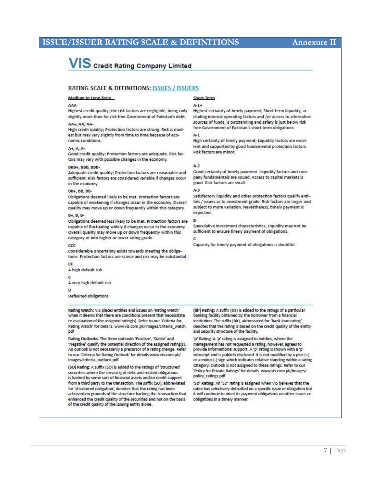## **ISSUE/ISSUER RATING SCALE & DEFINITIONS Annexure II**

# **VIS** Credit Rating Company Limited

### **RATING SCALE & DEFINITIONS: ISSUES / ISSUERS**

#### Medium to Long-Term

#### AAA

Highest credit quality; the risk factors are negligible, being only slightly more than for risk-free Government of Pakistan's debt.

### AA+, AA, AA-

High credit quality; Protection factors are strong. Risk is modest but may vary slightly from time to time because of economic conditions.

#### A+, A, A-

Good credit quality; Protection factors are adequate. Risk factors may vary with possible changes in the economy.

#### BBB+, BBB, BBB-

Adequate credit quality; Protection factors are reasonable and sufficient. Risk factors are considered variable if changes occur in the economy

#### BB+, BB, BB-

Obligations deemed likely to be met. Protection factors are capable of weakening if changes occur in the economy. Overall quality may move up or down frequently within this category.

#### B+, B, B-

Obligations deemed less likely to be met. Protection factors are capable of fluctuating widely if changes occur in the economy. Overall quality may move up or down frequently within this category or into higher or lower rating grade.

#### ccc

Considerable uncertainty exists towards meeting the obligations. Protection factors are scarce and risk may be substantial.

A high default risk

cc

A very high default risk

Defaulted obligations

#### Rating Watch: VIS places entities and issues on 'Rating Watch' when it deems that there are conditions present that necessitate re-evaluation of the assigned rating(s). Refer to our 'Criteria for Rating Watch' for details. www.vis.com.pk/images/criteria\_watch. pdf

Rating Outlooks: The three outlooks 'Positive', 'Stable' and 'Negative' qualify the potential direction of the assigned rating(s). An outlook is not necessarily a precursor of a rating change. Refer to our 'Criteria for Rating Outlook' for details.www.vis.com.pk/ images/criteria\_outlook.pdf

(SO) Rating: A suffix (SO) is added to the ratings of 'structured' securities where the servicing of debt and related obligations is backed by some sort of financial assets and/or credit support from a third party to the transaction. The suffix (SO), abbreviated for 'structured obligation', denotes that the rating has been achieved on grounds of the structure backing the transaction that enhanced the credit quality of the securities and not on the basis of the credit quality of the issuing entity alone.

### Short-Term

#### $\Delta - 1 +$

Highest certainty of timely payment; Short-term liquidity, including internal operating factors and /or access to alternative sources of funds, is outstanding and safety is just below risk free Government of Pakistan's short-term obligations.

 $A-1$ 

High certainty of timely payment; Liquidity factors are excellent and supported by good fundamental protection factors. Risk factors are minor.

#### $A-2$

Good certainty of timely payment. Liquidity factors and company fundamentals are sound. Access to capital markets is good. Risk factors are small.

#### $A-3$

Satisfactory liquidity and other protection factors qualify entities / issues as to investment grade. Risk factors are larger and subject to more variation. Nevertheless, timely payment is expected.

#### B

Speculative investment characteristics; Liquidity may not be sufficient to ensure timely payment of obligations.

Capacity for timely payment of obligations is doubtful.

(bir) Rating: A suffix (bir) is added to the ratings of a particular banking facility obtained by the borrower from a financial institution. The suffix (blr), abbreviated for 'bank loan rating' denotes that the rating is based on the credit quality of the entity and security structure of the facility.

'p' Rating: A 'p' rating is assigned to entities, where the management has not requested a rating, however, agrees to provide informational support. A 'p' rating is shown with a 'p' subscript and is publicly disclosed. It is not modified by a plus (+) or a minus (-) sign which indicates relative standing within a rating category. Outlook is not assigned to these ratings. Refer to our 'Policy for Private Ratings' for details. www.vis.com.pk/images/ policy\_ratings.pdf

'SD' Rating: An 'SD' rating is assigned when VIS believes that the ratee has selectively defaulted on a specific issue or obligation but it will continue to meet its payment obligations on other issues or obligations in a timely manner.

### 7 | Page